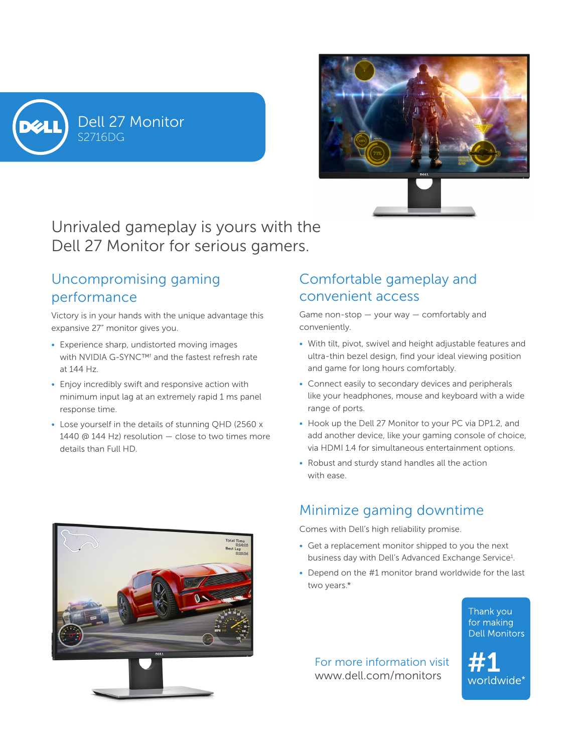





Unrivaled gameplay is yours with the Dell 27 Monitor for serious gamers.

# Uncompromising gaming performance

Victory is in your hands with the unique advantage this expansive 27" monitor gives you.

- Experience sharp, undistorted moving images with NVIDIA G-SYNC™<sup>†</sup> and the fastest refresh rate at 144 Hz.
- Enjoy incredibly swift and responsive action with minimum input lag at an extremely rapid 1 ms panel response time.
- Lose yourself in the details of stunning QHD (2560 x 1440 @ 144 Hz) resolution — close to two times more details than Full HD.

# Comfortable gameplay and convenient access

Game non-stop — your way — comfortably and conveniently.

- With tilt, pivot, swivel and height adjustable features and ultra-thin bezel design, find your ideal viewing position and game for long hours comfortably.
- Connect easily to secondary devices and peripherals like your headphones, mouse and keyboard with a wide range of ports.
- Hook up the Dell 27 Monitor to your PC via DP1.2, and add another device, like your gaming console of choice, via HDMI 1.4 for simultaneous entertainment options.
- Robust and sturdy stand handles all the action with ease.

## Minimize gaming downtime

Comes with Dell's high reliability promise.

- Get a replacement monitor shipped to you the next business day with Dell's Advanced Exchange Service<sup>1</sup>.
- Depend on the #1 monitor brand worldwide for the last two years.\*

Thank you for making **Dell Monitors** 

For more information visit www.dell.com/monitors